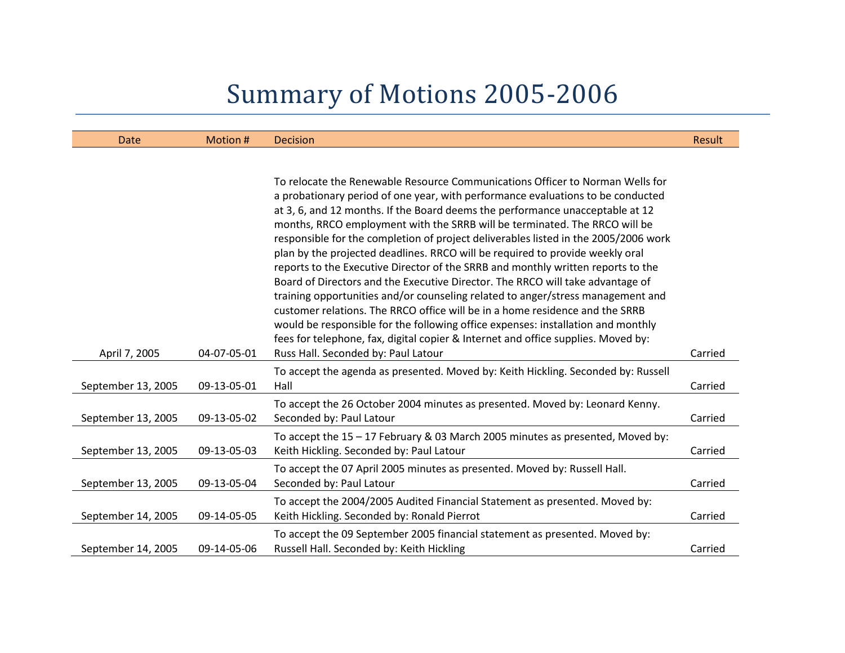## Summary of Motions 2005-2006

| <b>Date</b>        | Motion #    | <b>Decision</b>                                                                                                                                                                                                                                                                                                                                                                                                                                                                                                                                                                                                                                                                                                                                                                                                                                                                                                                                                                                                                                                  | Result  |
|--------------------|-------------|------------------------------------------------------------------------------------------------------------------------------------------------------------------------------------------------------------------------------------------------------------------------------------------------------------------------------------------------------------------------------------------------------------------------------------------------------------------------------------------------------------------------------------------------------------------------------------------------------------------------------------------------------------------------------------------------------------------------------------------------------------------------------------------------------------------------------------------------------------------------------------------------------------------------------------------------------------------------------------------------------------------------------------------------------------------|---------|
| April 7, 2005      | 04-07-05-01 | To relocate the Renewable Resource Communications Officer to Norman Wells for<br>a probationary period of one year, with performance evaluations to be conducted<br>at 3, 6, and 12 months. If the Board deems the performance unacceptable at 12<br>months, RRCO employment with the SRRB will be terminated. The RRCO will be<br>responsible for the completion of project deliverables listed in the 2005/2006 work<br>plan by the projected deadlines. RRCO will be required to provide weekly oral<br>reports to the Executive Director of the SRRB and monthly written reports to the<br>Board of Directors and the Executive Director. The RRCO will take advantage of<br>training opportunities and/or counseling related to anger/stress management and<br>customer relations. The RRCO office will be in a home residence and the SRRB<br>would be responsible for the following office expenses: installation and monthly<br>fees for telephone, fax, digital copier & Internet and office supplies. Moved by:<br>Russ Hall. Seconded by: Paul Latour | Carried |
| September 13, 2005 | 09-13-05-01 | To accept the agenda as presented. Moved by: Keith Hickling. Seconded by: Russell<br>Hall                                                                                                                                                                                                                                                                                                                                                                                                                                                                                                                                                                                                                                                                                                                                                                                                                                                                                                                                                                        | Carried |
| September 13, 2005 | 09-13-05-02 | To accept the 26 October 2004 minutes as presented. Moved by: Leonard Kenny.<br>Seconded by: Paul Latour                                                                                                                                                                                                                                                                                                                                                                                                                                                                                                                                                                                                                                                                                                                                                                                                                                                                                                                                                         | Carried |
| September 13, 2005 | 09-13-05-03 | To accept the 15 - 17 February & 03 March 2005 minutes as presented, Moved by:<br>Keith Hickling. Seconded by: Paul Latour                                                                                                                                                                                                                                                                                                                                                                                                                                                                                                                                                                                                                                                                                                                                                                                                                                                                                                                                       | Carried |
| September 13, 2005 | 09-13-05-04 | To accept the 07 April 2005 minutes as presented. Moved by: Russell Hall.<br>Seconded by: Paul Latour                                                                                                                                                                                                                                                                                                                                                                                                                                                                                                                                                                                                                                                                                                                                                                                                                                                                                                                                                            | Carried |
| September 14, 2005 | 09-14-05-05 | To accept the 2004/2005 Audited Financial Statement as presented. Moved by:<br>Keith Hickling. Seconded by: Ronald Pierrot                                                                                                                                                                                                                                                                                                                                                                                                                                                                                                                                                                                                                                                                                                                                                                                                                                                                                                                                       | Carried |
| September 14, 2005 | 09-14-05-06 | To accept the 09 September 2005 financial statement as presented. Moved by:<br>Russell Hall. Seconded by: Keith Hickling                                                                                                                                                                                                                                                                                                                                                                                                                                                                                                                                                                                                                                                                                                                                                                                                                                                                                                                                         | Carried |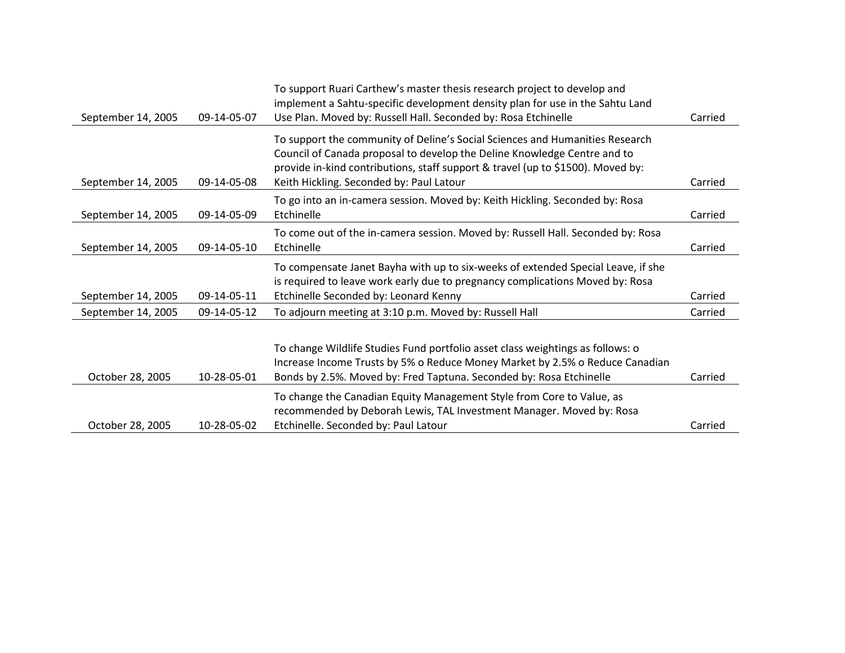|                    |             | To support Ruari Carthew's master thesis research project to develop and<br>implement a Sahtu-specific development density plan for use in the Sahtu Land         |         |
|--------------------|-------------|-------------------------------------------------------------------------------------------------------------------------------------------------------------------|---------|
| September 14, 2005 | 09-14-05-07 | Use Plan. Moved by: Russell Hall. Seconded by: Rosa Etchinelle                                                                                                    | Carried |
|                    |             | To support the community of Deline's Social Sciences and Humanities Research                                                                                      |         |
|                    |             | Council of Canada proposal to develop the Deline Knowledge Centre and to                                                                                          |         |
|                    |             | provide in-kind contributions, staff support & travel (up to \$1500). Moved by:                                                                                   |         |
| September 14, 2005 | 09-14-05-08 | Keith Hickling. Seconded by: Paul Latour                                                                                                                          | Carried |
|                    |             | To go into an in-camera session. Moved by: Keith Hickling. Seconded by: Rosa                                                                                      |         |
| September 14, 2005 | 09-14-05-09 | Etchinelle                                                                                                                                                        | Carried |
|                    |             | To come out of the in-camera session. Moved by: Russell Hall. Seconded by: Rosa                                                                                   |         |
| September 14, 2005 | 09-14-05-10 | Etchinelle                                                                                                                                                        | Carried |
|                    |             | To compensate Janet Bayha with up to six-weeks of extended Special Leave, if she<br>is required to leave work early due to pregnancy complications Moved by: Rosa |         |
| September 14, 2005 | 09-14-05-11 | Etchinelle Seconded by: Leonard Kenny                                                                                                                             | Carried |
| September 14, 2005 | 09-14-05-12 | To adjourn meeting at 3:10 p.m. Moved by: Russell Hall                                                                                                            | Carried |
|                    |             |                                                                                                                                                                   |         |
|                    |             | To change Wildlife Studies Fund portfolio asset class weightings as follows: o                                                                                    |         |
|                    |             | Increase Income Trusts by 5% o Reduce Money Market by 2.5% o Reduce Canadian                                                                                      |         |
| October 28, 2005   | 10-28-05-01 | Bonds by 2.5%. Moved by: Fred Taptuna. Seconded by: Rosa Etchinelle                                                                                               | Carried |
|                    |             | To change the Canadian Equity Management Style from Core to Value, as                                                                                             |         |
|                    |             | recommended by Deborah Lewis, TAL Investment Manager. Moved by: Rosa                                                                                              |         |
| October 28, 2005   | 10-28-05-02 | Etchinelle. Seconded by: Paul Latour                                                                                                                              | Carried |
|                    |             |                                                                                                                                                                   |         |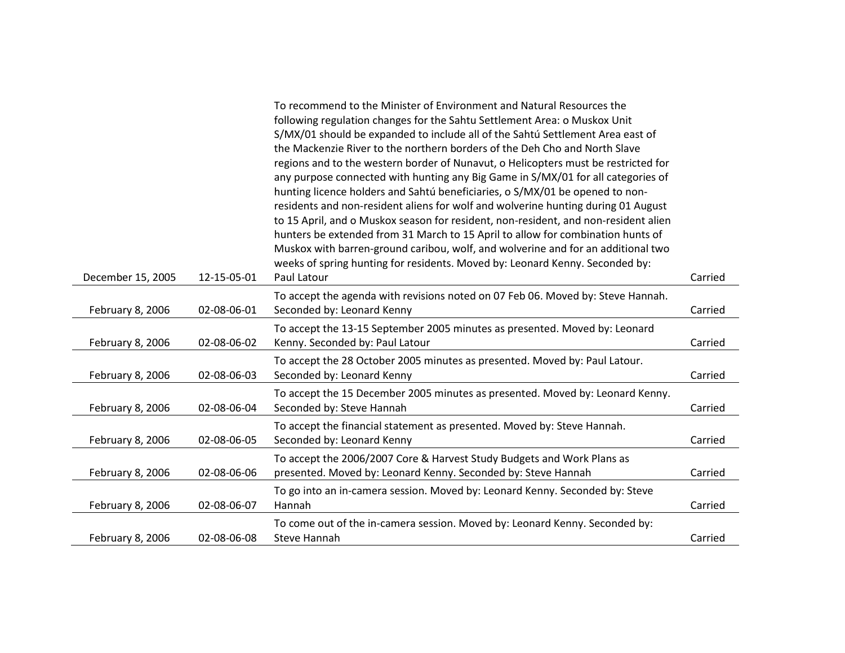| December 15, 2005 | 12-15-05-01 | To recommend to the Minister of Environment and Natural Resources the<br>following regulation changes for the Sahtu Settlement Area: o Muskox Unit<br>S/MX/01 should be expanded to include all of the Sahtú Settlement Area east of<br>the Mackenzie River to the northern borders of the Deh Cho and North Slave<br>regions and to the western border of Nunavut, o Helicopters must be restricted for<br>any purpose connected with hunting any Big Game in S/MX/01 for all categories of<br>hunting licence holders and Sahtú beneficiaries, o S/MX/01 be opened to non-<br>residents and non-resident aliens for wolf and wolverine hunting during 01 August<br>to 15 April, and o Muskox season for resident, non-resident, and non-resident alien<br>hunters be extended from 31 March to 15 April to allow for combination hunts of<br>Muskox with barren-ground caribou, wolf, and wolverine and for an additional two<br>weeks of spring hunting for residents. Moved by: Leonard Kenny. Seconded by:<br>Paul Latour | Carried |
|-------------------|-------------|--------------------------------------------------------------------------------------------------------------------------------------------------------------------------------------------------------------------------------------------------------------------------------------------------------------------------------------------------------------------------------------------------------------------------------------------------------------------------------------------------------------------------------------------------------------------------------------------------------------------------------------------------------------------------------------------------------------------------------------------------------------------------------------------------------------------------------------------------------------------------------------------------------------------------------------------------------------------------------------------------------------------------------|---------|
|                   |             | To accept the agenda with revisions noted on 07 Feb 06. Moved by: Steve Hannah.                                                                                                                                                                                                                                                                                                                                                                                                                                                                                                                                                                                                                                                                                                                                                                                                                                                                                                                                                |         |
| February 8, 2006  | 02-08-06-01 | Seconded by: Leonard Kenny                                                                                                                                                                                                                                                                                                                                                                                                                                                                                                                                                                                                                                                                                                                                                                                                                                                                                                                                                                                                     | Carried |
| February 8, 2006  | 02-08-06-02 | To accept the 13-15 September 2005 minutes as presented. Moved by: Leonard<br>Kenny. Seconded by: Paul Latour                                                                                                                                                                                                                                                                                                                                                                                                                                                                                                                                                                                                                                                                                                                                                                                                                                                                                                                  | Carried |
| February 8, 2006  | 02-08-06-03 | To accept the 28 October 2005 minutes as presented. Moved by: Paul Latour.<br>Seconded by: Leonard Kenny                                                                                                                                                                                                                                                                                                                                                                                                                                                                                                                                                                                                                                                                                                                                                                                                                                                                                                                       | Carried |
| February 8, 2006  | 02-08-06-04 | To accept the 15 December 2005 minutes as presented. Moved by: Leonard Kenny.<br>Seconded by: Steve Hannah                                                                                                                                                                                                                                                                                                                                                                                                                                                                                                                                                                                                                                                                                                                                                                                                                                                                                                                     | Carried |
| February 8, 2006  | 02-08-06-05 | To accept the financial statement as presented. Moved by: Steve Hannah.<br>Seconded by: Leonard Kenny                                                                                                                                                                                                                                                                                                                                                                                                                                                                                                                                                                                                                                                                                                                                                                                                                                                                                                                          | Carried |
| February 8, 2006  | 02-08-06-06 | To accept the 2006/2007 Core & Harvest Study Budgets and Work Plans as<br>presented. Moved by: Leonard Kenny. Seconded by: Steve Hannah                                                                                                                                                                                                                                                                                                                                                                                                                                                                                                                                                                                                                                                                                                                                                                                                                                                                                        | Carried |
| February 8, 2006  | 02-08-06-07 | To go into an in-camera session. Moved by: Leonard Kenny. Seconded by: Steve<br>Hannah                                                                                                                                                                                                                                                                                                                                                                                                                                                                                                                                                                                                                                                                                                                                                                                                                                                                                                                                         | Carried |
| February 8, 2006  | 02-08-06-08 | To come out of the in-camera session. Moved by: Leonard Kenny. Seconded by:<br>Steve Hannah                                                                                                                                                                                                                                                                                                                                                                                                                                                                                                                                                                                                                                                                                                                                                                                                                                                                                                                                    | Carried |